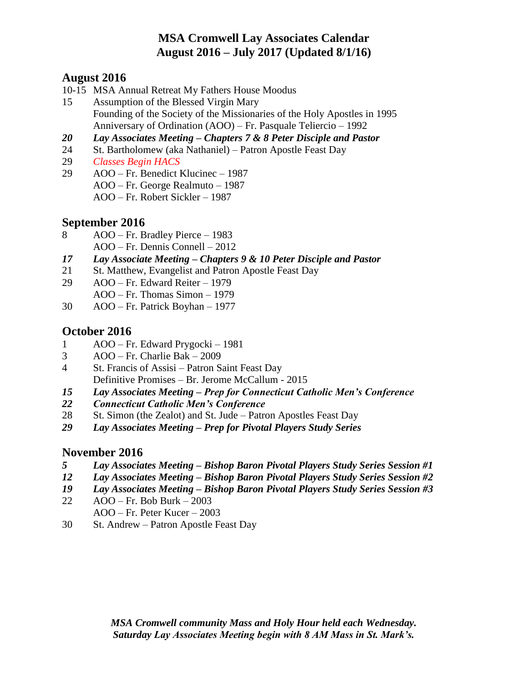# **MSA Cromwell Lay Associates Calendar August 2016 – July 2017 (Updated 8/1/16)**

### **August 2016**

- 10-15 MSA Annual Retreat My Fathers House Moodus
- 15 Assumption of the Blessed Virgin Mary Founding of the Society of the Missionaries of the Holy Apostles in 1995 Anniversary of Ordination (AOO) – Fr. Pasquale Teliercio – 1992
- *20 Lay Associates Meeting – Chapters 7 & 8 Peter Disciple and Pastor*
- 24 St. Bartholomew (aka Nathaniel) Patron Apostle Feast Day
- 29 *Classes Begin HACS*
- 29 AOO Fr. Benedict Klucinec 1987 AOO – Fr. George Realmuto – 1987 AOO – Fr. Robert Sickler – 1987

## **September 2016**

- 8 AOO Fr. Bradley Pierce 1983 AOO – Fr. Dennis Connell – 2012
- *17 Lay Associate Meeting – Chapters 9 & 10 Peter Disciple and Pastor*
- 21 St. Matthew, Evangelist and Patron Apostle Feast Day
- 29 AOO Fr. Edward Reiter 1979
- AOO Fr. Thomas Simon 1979
- 30 AOO Fr. Patrick Boyhan 1977

## **October 2016**

- 1 AOO Fr. Edward Prygocki 1981
- 3 AOO Fr. Charlie Bak 2009
- 4 St. Francis of Assisi Patron Saint Feast Day Definitive Promises – Br. Jerome McCallum - 2015
- *15 Lay Associates Meeting – Prep for Connecticut Catholic Men's Conference*
- *22 Connecticut Catholic Men's Conference*
- 28 St. Simon (the Zealot) and St. Jude Patron Apostles Feast Day
- *29 Lay Associates Meeting – Prep for Pivotal Players Study Series*

## **November 2016**

- *5 Lay Associates Meeting – Bishop Baron Pivotal Players Study Series Session #1*
- *12 Lay Associates Meeting – Bishop Baron Pivotal Players Study Series Session #2*
- *19 Lay Associates Meeting – Bishop Baron Pivotal Players Study Series Session #3*
- 22 AOO Fr. Bob Burk 2003
- AOO Fr. Peter Kucer 2003
- 30 St. Andrew Patron Apostle Feast Day

*MSA Cromwell community Mass and Holy Hour held each Wednesday. Saturday Lay Associates Meeting begin with 8 AM Mass in St. Mark's.*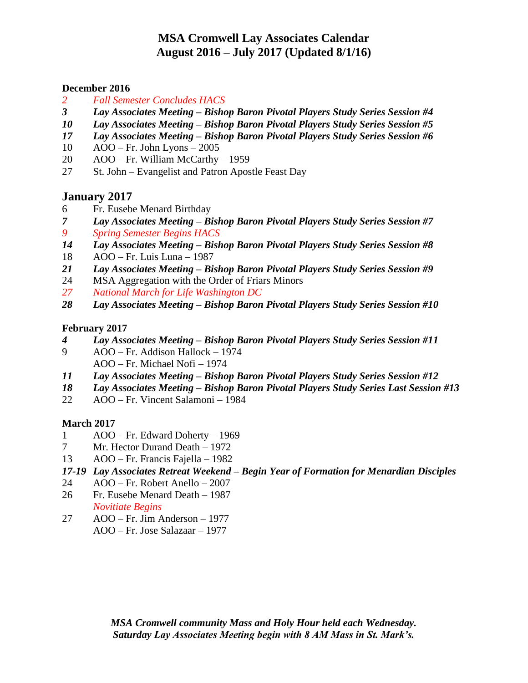## **MSA Cromwell Lay Associates Calendar August 2016 – July 2017 (Updated 8/1/16)**

#### **December 2016**

- *Fall Semester Concludes HACS*
- *Lay Associates Meeting – Bishop Baron Pivotal Players Study Series Session #4*
- *Lay Associates Meeting – Bishop Baron Pivotal Players Study Series Session #5*
- *Lay Associates Meeting – Bishop Baron Pivotal Players Study Series Session #6*
- AOO Fr. John Lyons 2005
- AOO Fr. William McCarthy 1959
- St. John Evangelist and Patron Apostle Feast Day

## **January 2017**

- Fr. Eusebe Menard Birthday
- *Lay Associates Meeting – Bishop Baron Pivotal Players Study Series Session #7 Spring Semester Begins HACS*
- *Lay Associates Meeting – Bishop Baron Pivotal Players Study Series Session #8*
- AOO Fr. Luis Luna 1987
- *Lay Associates Meeting – Bishop Baron Pivotal Players Study Series Session #9*
- MSA Aggregation with the Order of Friars Minors
- *National March for Life Washington DC*
- *Lay Associates Meeting – Bishop Baron Pivotal Players Study Series Session #10*

#### **February 2017**

- *Lay Associates Meeting – Bishop Baron Pivotal Players Study Series Session #11*
- AOO Fr. Addison Hallock 1974 AOO – Fr. Michael Nofi – 1974
- *Lay Associates Meeting – Bishop Baron Pivotal Players Study Series Session #12*
- *Lay Associates Meeting – Bishop Baron Pivotal Players Study Series Last Session #13*
- AOO Fr. Vincent Salamoni 1984

### **March 2017**

- AOO Fr. Edward Doherty 1969
- Mr. Hector Durand Death 1972
- AOO Fr. Francis Fajella 1982
- *17-19 Lay Associates Retreat Weekend – Begin Year of Formation for Menardian Disciples*
- AOO Fr. Robert Anello 2007
- Fr. Eusebe Menard Death 1987
- *Novitiate Begins*
- AOO Fr. Jim Anderson 1977 AOO – Fr. Jose Salazaar – 1977

*MSA Cromwell community Mass and Holy Hour held each Wednesday. Saturday Lay Associates Meeting begin with 8 AM Mass in St. Mark's.*